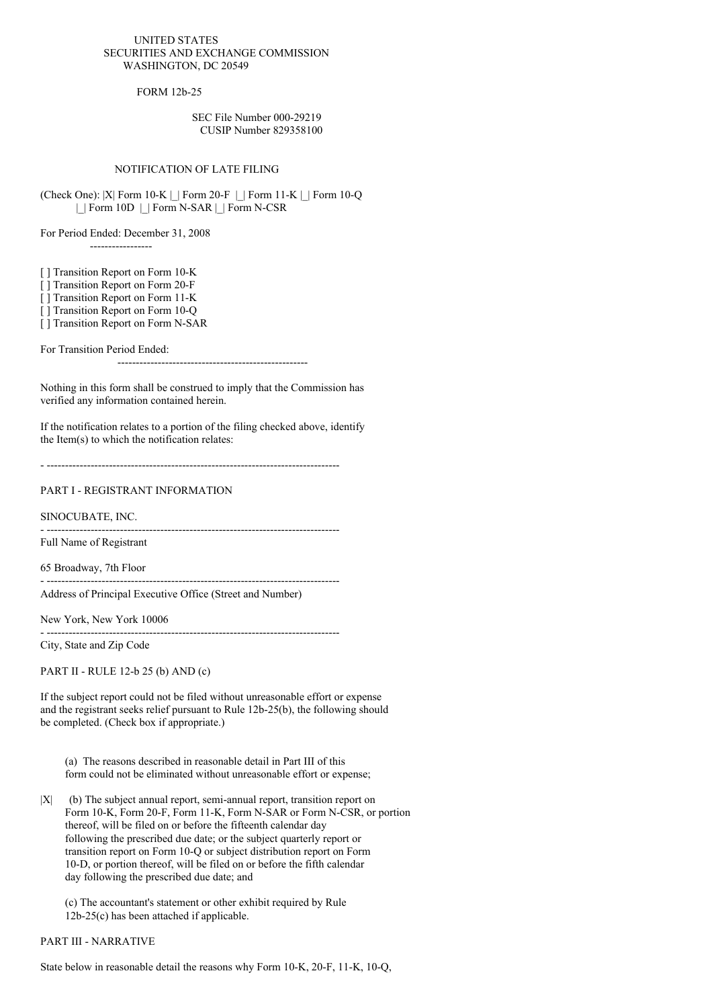#### UNITED STATES SECURITIES AND EXCHANGE COMMISSION WASHINGTON, DC 20549

FORM 12b-25

### SEC File Number 000-29219 CUSIP Number 829358100

## NOTIFICATION OF LATE FILING

(Check One): |X| Form 10-K |\_| Form 20-F |\_| Form 11-K |\_| Form 10-Q |\_| Form 10D |\_| Form N-SAR |\_| Form N-CSR

For Period Ended: December 31, 2008 -----------------

[ ] Transition Report on Form 10-K

[ ] Transition Report on Form 20-F

[ ] Transition Report on Form 11-K

[ ] Transition Report on Form 10-Q

[ ] Transition Report on Form N-SAR

For Transition Period Ended:

----------------------------------------------------

Nothing in this form shall be construed to imply that the Commission has verified any information contained herein.

If the notification relates to a portion of the filing checked above, identify the Item(s) to which the notification relates:

- --------------------------------------------------------------------------------

# PART I - REGISTRANT INFORMATION

SINOCUBATE, INC.

- -------------------------------------------------------------------------------- Full Name of Registrant

65 Broadway, 7th Floor

Address of Principal Executive Office (Street and Number)

New York, New York 10006

- --------------------------------------------------------------------------------

City, State and Zip Code

PART II - RULE 12-b 25 (b) AND (c)

If the subject report could not be filed without unreasonable effort or expense and the registrant seeks relief pursuant to Rule 12b-25(b), the following should be completed. (Check box if appropriate.)

- --------------------------------------------------------------------------------

(a) The reasons described in reasonable detail in Part III of this form could not be eliminated without unreasonable effort or expense;

|X| (b) The subject annual report, semi-annual report, transition report on Form 10-K, Form 20-F, Form 11-K, Form N-SAR or Form N-CSR, or portion thereof, will be filed on or before the fifteenth calendar day following the prescribed due date; or the subject quarterly report or transition report on Form 10-Q or subject distribution report on Form 10-D, or portion thereof, will be filed on or before the fifth calendar day following the prescribed due date; and

(c) The accountant's statement or other exhibit required by Rule 12b-25(c) has been attached if applicable.

### PART III - NARRATIVE

State below in reasonable detail the reasons why Form 10-K, 20-F, 11-K, 10-Q,